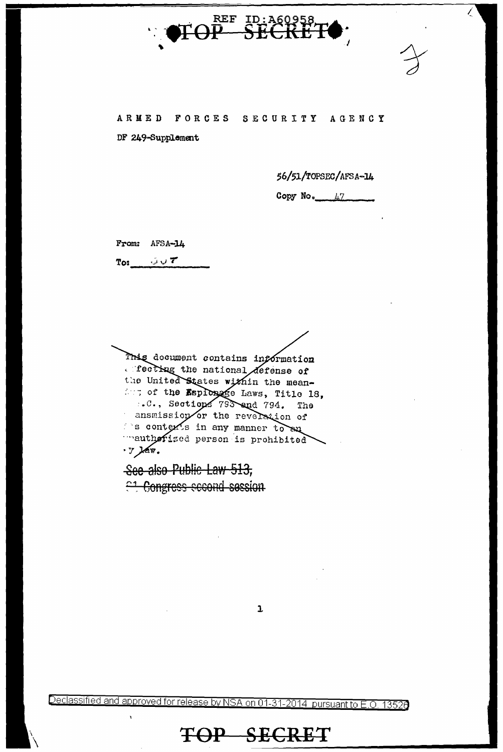

### ARMED FORCES SECURITY AGENCY

DF 249-Supplement

56/51/TOPSEC/AFSA-14

Ĺ

Copy No.  $47$ 

From: AFSA-14

 $T$ o:  $U$ 

This document contains information recting the national defense of the United States within the meanfor of the Esplosage Laws, Title 18, ..C., Sections 793 and 794. The ansmission or the revelation of s contex's in any manner to say mauthorized person is prohibited · y law.

See also Public Law 513, <sup>21</sup> Congress second session

 $\mathbf{1}$ 

Declassified and approved for release by NSA on 01-31-2014 pursuant to E.O. 13526

## TOP SECRET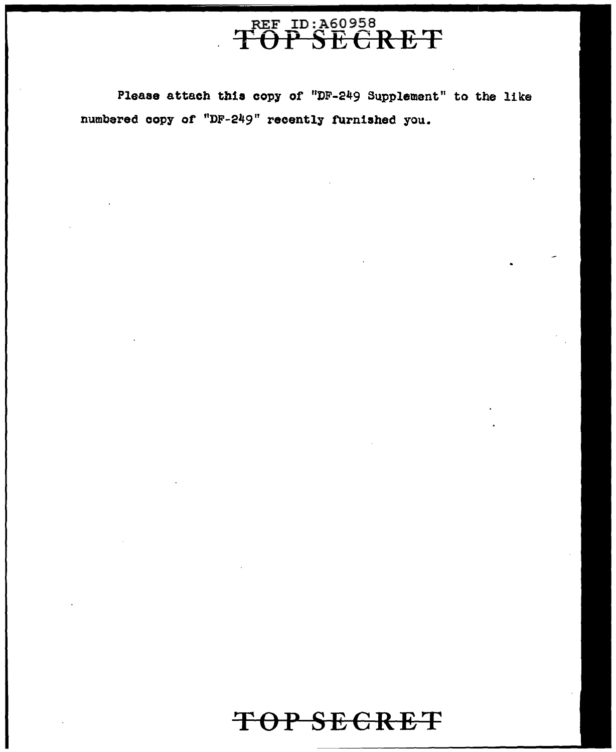

Please attach thia copy or "DF-249 8upplement" to the like numbered copy of "DF-249" recently furnished you.

# **TOP SECRET**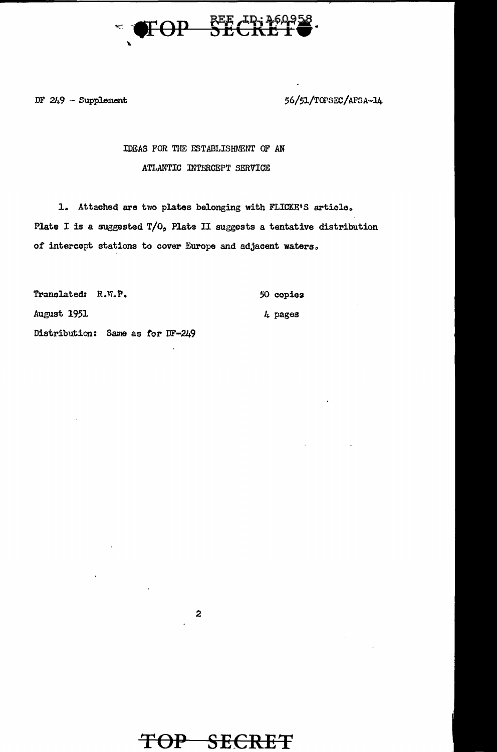

DF  $249$  - Supplement

56/51/TOPSEC/AFSA-14

#### IDEAS FOR THE ESTABLISHMENT OF AN ATLANTIC INTERCEPT SERVICE

1. Attached are two plates belonging with FLICKE'S article. Plate I is a suggested  $T/O<sub>o</sub>$  Plate II suggests a tentative distribution of intercept stations to cover Europe and adjacent waters.

Translated: R.W.P. 50 copies August 1951 4 pages Distribution: Same as for DF-249

 $\boldsymbol{z}$ 

## TOP SECRET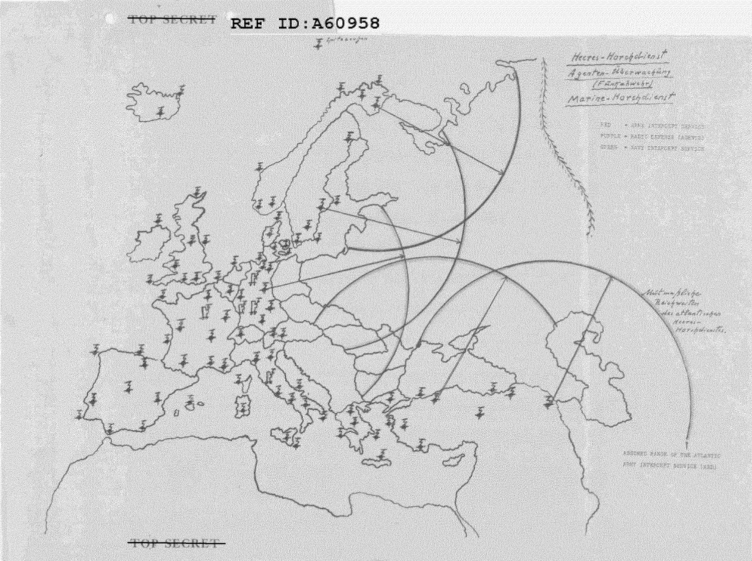